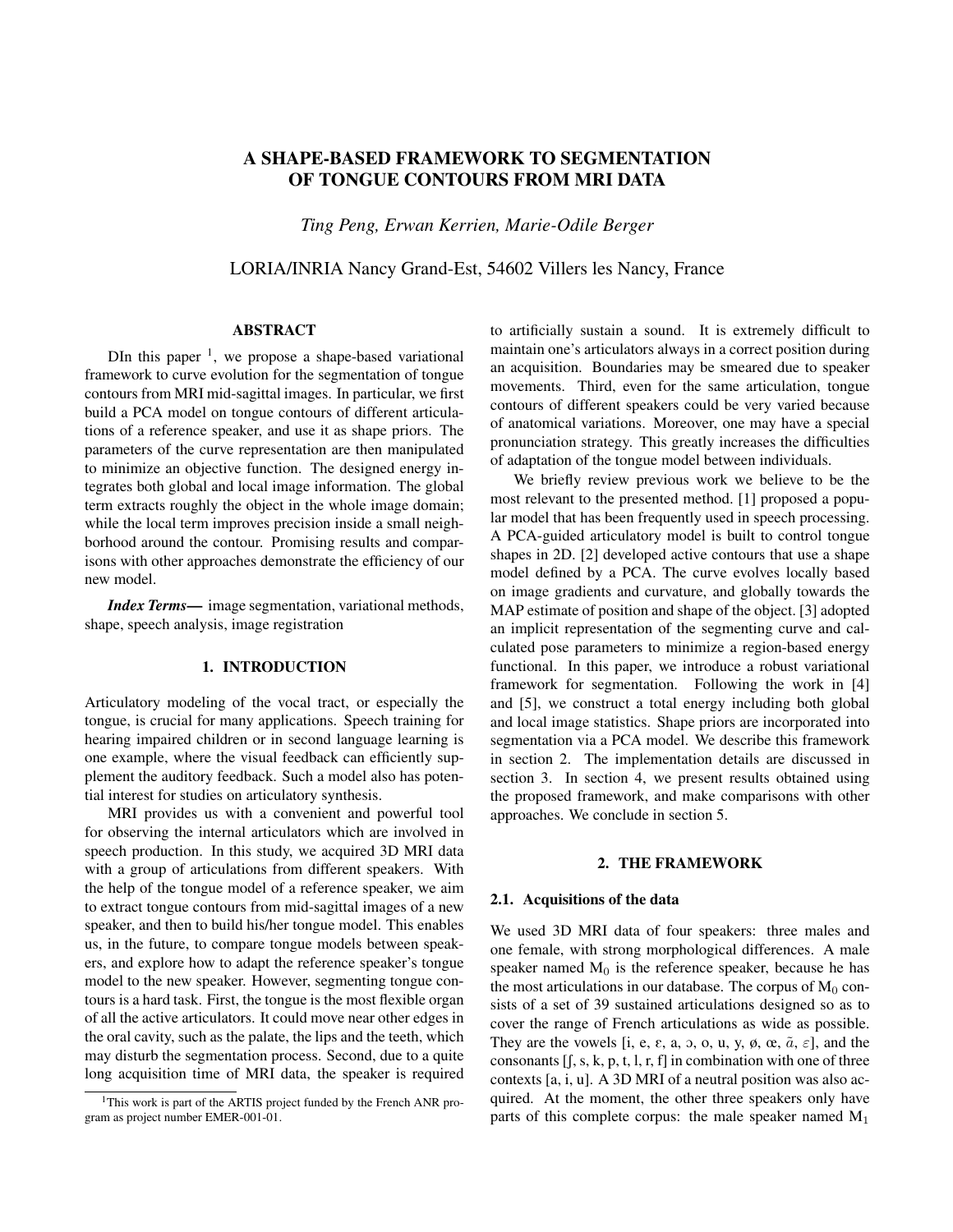# A SHAPE-BASED FRAMEWORK TO SEGMENTATION OF TONGUE CONTOURS FROM MRI DATA

*Ting Peng, Erwan Kerrien, Marie-Odile Berger*

LORIA/INRIA Nancy Grand-Est, 54602 Villers les Nancy, France

# ABSTRACT

DIn this paper  $<sup>1</sup>$ , we propose a shape-based variational</sup> framework to curve evolution for the segmentation of tongue contours from MRI mid-sagittal images. In particular, we first build a PCA model on tongue contours of different articulations of a reference speaker, and use it as shape priors. The parameters of the curve representation are then manipulated to minimize an objective function. The designed energy integrates both global and local image information. The global term extracts roughly the object in the whole image domain; while the local term improves precision inside a small neighborhood around the contour. Promising results and comparisons with other approaches demonstrate the efficiency of our new model.

*Index Terms*— image segmentation, variational methods, shape, speech analysis, image registration

# 1. INTRODUCTION

Articulatory modeling of the vocal tract, or especially the tongue, is crucial for many applications. Speech training for hearing impaired children or in second language learning is one example, where the visual feedback can efficiently supplement the auditory feedback. Such a model also has potential interest for studies on articulatory synthesis.

MRI provides us with a convenient and powerful tool for observing the internal articulators which are involved in speech production. In this study, we acquired 3D MRI data with a group of articulations from different speakers. With the help of the tongue model of a reference speaker, we aim to extract tongue contours from mid-sagittal images of a new speaker, and then to build his/her tongue model. This enables us, in the future, to compare tongue models between speakers, and explore how to adapt the reference speaker's tongue model to the new speaker. However, segmenting tongue contours is a hard task. First, the tongue is the most flexible organ of all the active articulators. It could move near other edges in the oral cavity, such as the palate, the lips and the teeth, which may disturb the segmentation process. Second, due to a quite long acquisition time of MRI data, the speaker is required to artificially sustain a sound. It is extremely difficult to maintain one's articulators always in a correct position during an acquisition. Boundaries may be smeared due to speaker movements. Third, even for the same articulation, tongue contours of different speakers could be very varied because of anatomical variations. Moreover, one may have a special pronunciation strategy. This greatly increases the difficulties of adaptation of the tongue model between individuals.

We briefly review previous work we believe to be the most relevant to the presented method. [1] proposed a popular model that has been frequently used in speech processing. A PCA-guided articulatory model is built to control tongue shapes in 2D. [2] developed active contours that use a shape model defined by a PCA. The curve evolves locally based on image gradients and curvature, and globally towards the MAP estimate of position and shape of the object. [3] adopted an implicit representation of the segmenting curve and calculated pose parameters to minimize a region-based energy functional. In this paper, we introduce a robust variational framework for segmentation. Following the work in [4] and [5], we construct a total energy including both global and local image statistics. Shape priors are incorporated into segmentation via a PCA model. We describe this framework in section 2. The implementation details are discussed in section 3. In section 4, we present results obtained using the proposed framework, and make comparisons with other approaches. We conclude in section 5.

# 2. THE FRAMEWORK

#### 2.1. Acquisitions of the data

We used 3D MRI data of four speakers: three males and one female, with strong morphological differences. A male speaker named  $M_0$  is the reference speaker, because he has the most articulations in our database. The corpus of  $M_0$  consists of a set of 39 sustained articulations designed so as to cover the range of French articulations as wide as possible. They are the vowels [i, e,  $\varepsilon$ , a, o, o, u, y,  $\phi$ ,  $\alpha$ ,  $\tilde{a}$ ,  $\varepsilon$ ], and the consonants  $[f, s, k, p, t, l, r, f]$  in combination with one of three contexts [a, i, u]. A 3D MRI of a neutral position was also acquired. At the moment, the other three speakers only have parts of this complete corpus: the male speaker named  $M_1$ 

<sup>&</sup>lt;sup>1</sup>This work is part of the ARTIS project funded by the French ANR program as project number EMER-001-01.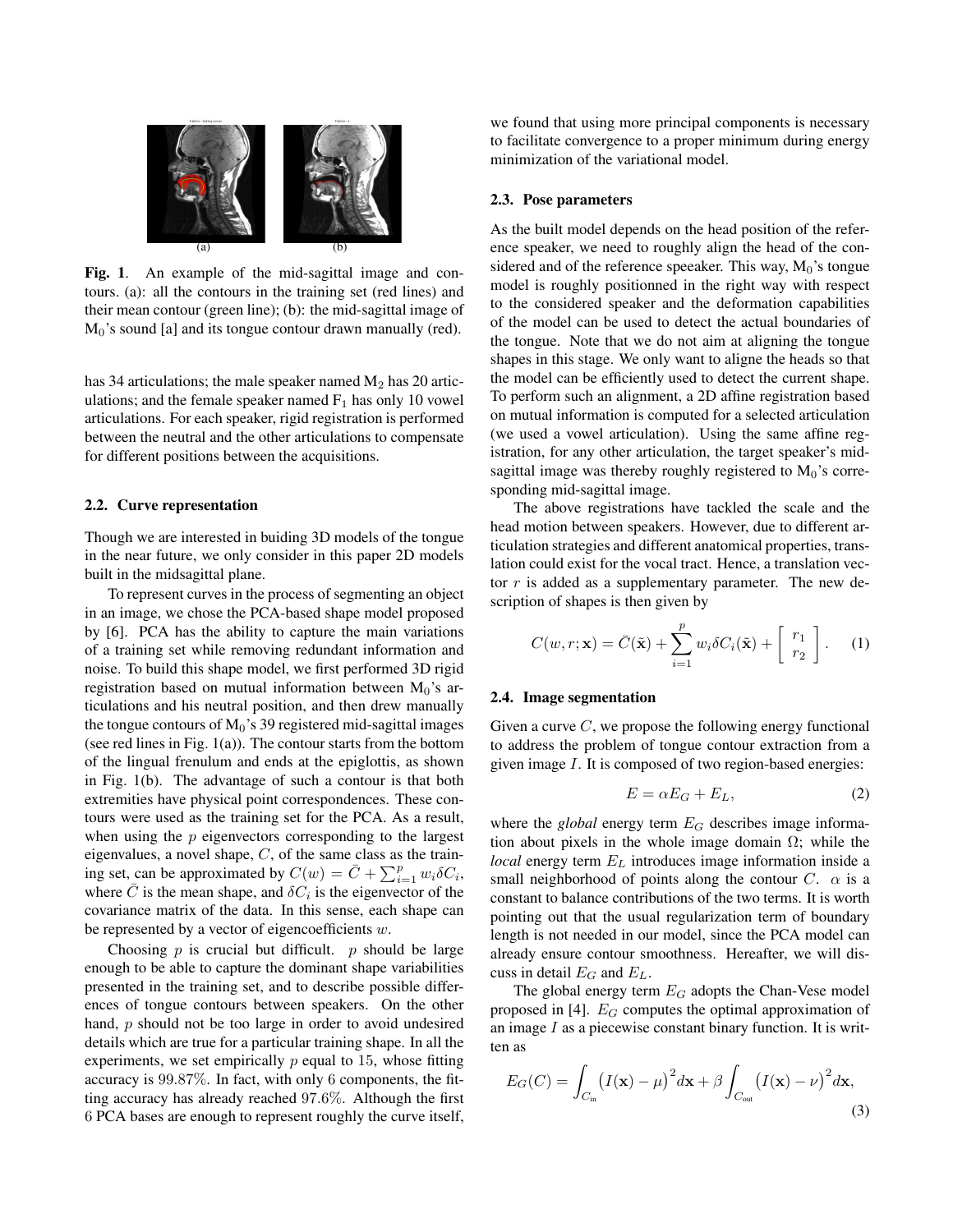

Fig. 1. An example of the mid-sagittal image and contours. (a): all the contours in the training set (red lines) and their mean contour (green line); (b): the mid-sagittal image of M0's sound [a] and its tongue contour drawn manually (red).

has 34 articulations; the male speaker named  $M_2$  has 20 articulations; and the female speaker named  $F_1$  has only 10 vowel articulations. For each speaker, rigid registration is performed between the neutral and the other articulations to compensate for different positions between the acquisitions.

### 2.2. Curve representation

Though we are interested in buiding 3D models of the tongue in the near future, we only consider in this paper 2D models built in the midsagittal plane.

To represent curves in the process of segmenting an object in an image, we chose the PCA-based shape model proposed by [6]. PCA has the ability to capture the main variations of a training set while removing redundant information and noise. To build this shape model, we first performed 3D rigid registration based on mutual information between  $M_0$ 's articulations and his neutral position, and then drew manually the tongue contours of  $M_0$ 's 39 registered mid-sagittal images (see red lines in Fig. 1(a)). The contour starts from the bottom of the lingual frenulum and ends at the epiglottis, as shown in Fig. 1(b). The advantage of such a contour is that both extremities have physical point correspondences. These contours were used as the training set for the PCA. As a result, when using the  $p$  eigenvectors corresponding to the largest eigenvalues, a novel shape,  $C$ , of the same class as the training set, can be approximated by  $C(w) = \overline{C} + \sum_{i=1}^{p} w_i \delta C_i$ , where  $\overline{C}$  is the mean shape, and  $\delta C_i$  is the eigenvector of the covariance matrix of the data. In this sense, each shape can be represented by a vector of eigencoefficients  $w$ .

Choosing  $p$  is crucial but difficult.  $p$  should be large enough to be able to capture the dominant shape variabilities presented in the training set, and to describe possible differences of tongue contours between speakers. On the other hand, p should not be too large in order to avoid undesired details which are true for a particular training shape. In all the experiments, we set empirically  $p$  equal to 15, whose fitting accuracy is 99.87%. In fact, with only 6 components, the fitting accuracy has already reached 97.6%. Although the first 6 PCA bases are enough to represent roughly the curve itself,

we found that using more principal components is necessary to facilitate convergence to a proper minimum during energy minimization of the variational model.

#### 2.3. Pose parameters

As the built model depends on the head position of the reference speaker, we need to roughly align the head of the considered and of the reference speeaker. This way,  $M_0$ 's tongue model is roughly positionned in the right way with respect to the considered speaker and the deformation capabilities of the model can be used to detect the actual boundaries of the tongue. Note that we do not aim at aligning the tongue shapes in this stage. We only want to aligne the heads so that the model can be efficiently used to detect the current shape. To perform such an alignment, a 2D affine registration based on mutual information is computed for a selected articulation (we used a vowel articulation). Using the same affine registration, for any other articulation, the target speaker's midsagittal image was thereby roughly registered to  $M_0$ 's corresponding mid-sagittal image.

The above registrations have tackled the scale and the head motion between speakers. However, due to different articulation strategies and different anatomical properties, translation could exist for the vocal tract. Hence, a translation vector  $r$  is added as a supplementary parameter. The new description of shapes is then given by

$$
C(w,r; \mathbf{x}) = \bar{C}(\tilde{\mathbf{x}}) + \sum_{i=1}^{p} w_i \delta C_i(\tilde{\mathbf{x}}) + \begin{bmatrix} r_1 \\ r_2 \end{bmatrix}.
$$
 (1)

#### 2.4. Image segmentation

Given a curve  $C$ , we propose the following energy functional to address the problem of tongue contour extraction from a given image I. It is composed of two region-based energies:

$$
E = \alpha E_G + E_L,\t\t(2)
$$

where the *global* energy term  $E_G$  describes image information about pixels in the whole image domain  $\Omega$ ; while the *local* energy term  $E_L$  introduces image information inside a small neighborhood of points along the contour C.  $\alpha$  is a constant to balance contributions of the two terms. It is worth pointing out that the usual regularization term of boundary length is not needed in our model, since the PCA model can already ensure contour smoothness. Hereafter, we will discuss in detail  $E_G$  and  $E_L$ .

The global energy term  $E_G$  adopts the Chan-Vese model proposed in [4].  $E_G$  computes the optimal approximation of an image  $I$  as a piecewise constant binary function. It is written as

$$
E_G(C) = \int_{C_{\text{in}}} \left( I(\mathbf{x}) - \mu \right)^2 d\mathbf{x} + \beta \int_{C_{\text{out}}} \left( I(\mathbf{x}) - \nu \right)^2 d\mathbf{x},\tag{3}
$$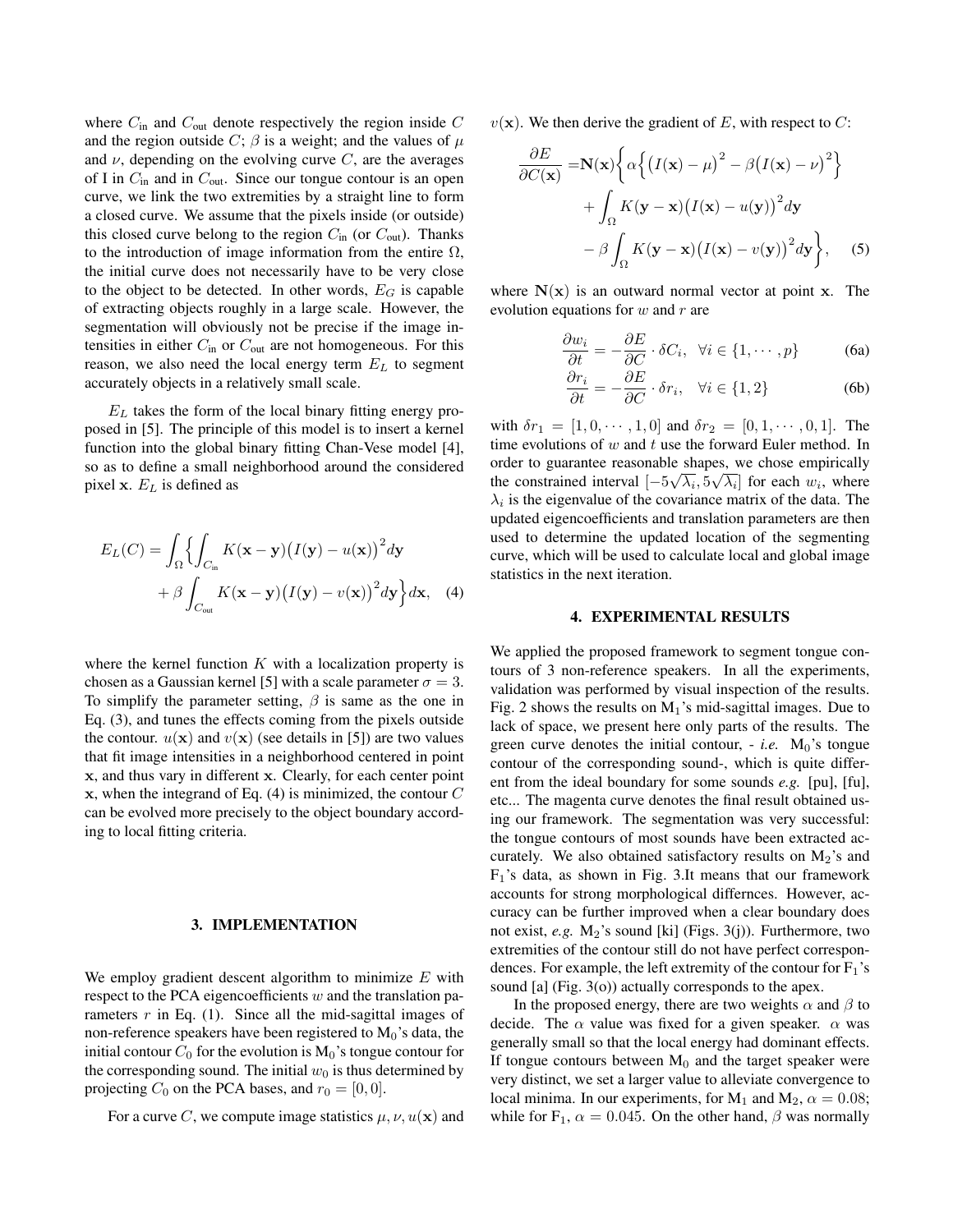where  $C_{\text{in}}$  and  $C_{\text{out}}$  denote respectively the region inside  $C$ and the region outside C;  $\beta$  is a weight; and the values of  $\mu$ and  $\nu$ , depending on the evolving curve C, are the averages of I in  $C_{\text{in}}$  and in  $C_{\text{out}}$ . Since our tongue contour is an open curve, we link the two extremities by a straight line to form a closed curve. We assume that the pixels inside (or outside) this closed curve belong to the region  $C_{\text{in}}$  (or  $C_{\text{out}}$ ). Thanks to the introduction of image information from the entire  $\Omega$ , the initial curve does not necessarily have to be very close to the object to be detected. In other words,  $E_G$  is capable of extracting objects roughly in a large scale. However, the segmentation will obviously not be precise if the image intensities in either  $C_{\text{in}}$  or  $C_{\text{out}}$  are not homogeneous. For this reason, we also need the local energy term  $E<sub>L</sub>$  to segment accurately objects in a relatively small scale.

 $E<sub>L</sub>$  takes the form of the local binary fitting energy proposed in [5]. The principle of this model is to insert a kernel function into the global binary fitting Chan-Vese model [4], so as to define a small neighborhood around the considered pixel x.  $E_L$  is defined as

$$
E_L(C) = \int_{\Omega} \left\{ \int_{C_{\text{in}}} K(\mathbf{x} - \mathbf{y}) (I(\mathbf{y}) - u(\mathbf{x}))^2 d\mathbf{y} + \beta \int_{C_{\text{out}}} K(\mathbf{x} - \mathbf{y}) (I(\mathbf{y}) - v(\mathbf{x}))^2 d\mathbf{y} \right\} d\mathbf{x}, \quad (4)
$$

where the kernel function  $K$  with a localization property is chosen as a Gaussian kernel [5] with a scale parameter  $\sigma = 3$ . To simplify the parameter setting,  $\beta$  is same as the one in Eq. (3), and tunes the effects coming from the pixels outside the contour.  $u(\mathbf{x})$  and  $v(\mathbf{x})$  (see details in [5]) are two values that fit image intensities in a neighborhood centered in point x, and thus vary in different x. Clearly, for each center point  $x$ , when the integrand of Eq. (4) is minimized, the contour  $C$ can be evolved more precisely to the object boundary according to local fitting criteria.

# 3. IMPLEMENTATION

We employ gradient descent algorithm to minimize  $E$  with respect to the PCA eigencoefficients  $w$  and the translation parameters  $r$  in Eq. (1). Since all the mid-sagittal images of non-reference speakers have been registered to  $M_0$ 's data, the initial contour  $C_0$  for the evolution is  $M_0$ 's tongue contour for the corresponding sound. The initial  $w_0$  is thus determined by projecting  $C_0$  on the PCA bases, and  $r_0 = [0, 0]$ .

For a curve C, we compute image statistics  $\mu$ ,  $\nu$ ,  $u(\mathbf{x})$  and

 $v(\mathbf{x})$ . We then derive the gradient of E, with respect to C:

$$
\frac{\partial E}{\partial C(\mathbf{x})} = \mathbf{N}(\mathbf{x}) \Big\{ \alpha \Big\{ \big(I(\mathbf{x}) - \mu\big)^2 - \beta \big(I(\mathbf{x}) - \nu\big)^2 \Big\} + \int_{\Omega} K(\mathbf{y} - \mathbf{x}) \big(I(\mathbf{x}) - u(\mathbf{y})\big)^2 d\mathbf{y} - \beta \int_{\Omega} K(\mathbf{y} - \mathbf{x}) \big(I(\mathbf{x}) - v(\mathbf{y})\big)^2 d\mathbf{y} \Big\}, \quad (5)
$$

where  $N(x)$  is an outward normal vector at point x. The evolution equations for  $w$  and  $r$  are

$$
\frac{\partial w_i}{\partial t} = -\frac{\partial E}{\partial C} \cdot \delta C_i, \ \ \forall i \in \{1, \cdots, p\}
$$
 (6a)

$$
\frac{\partial r_i}{\partial t} = -\frac{\partial E}{\partial C} \cdot \delta r_i, \quad \forall i \in \{1, 2\}
$$
 (6b)

with  $\delta r_1 = [1, 0, \dots, 1, 0]$  and  $\delta r_2 = [0, 1, \dots, 0, 1]$ . The time evolutions of  $w$  and  $t$  use the forward Euler method. In order to guarantee reasonable shapes, we chose empirically the constrained interval  $[-5\sqrt{\lambda_i}, 5\sqrt{\lambda_i}]$  for each  $w_i$ , where  $\lambda_i$  is the eigenvalue of the covariance matrix of the data. The updated eigencoefficients and translation parameters are then used to determine the updated location of the segmenting curve, which will be used to calculate local and global image statistics in the next iteration.

# 4. EXPERIMENTAL RESULTS

We applied the proposed framework to segment tongue contours of 3 non-reference speakers. In all the experiments, validation was performed by visual inspection of the results. Fig. 2 shows the results on  $M_1$ 's mid-sagittal images. Due to lack of space, we present here only parts of the results. The green curve denotes the initial contour,  $-$  *i.e.* M<sub>0</sub>'s tongue contour of the corresponding sound-, which is quite different from the ideal boundary for some sounds *e.g.* [pu], [fu], etc... The magenta curve denotes the final result obtained using our framework. The segmentation was very successful: the tongue contours of most sounds have been extracted accurately. We also obtained satisfactory results on  $M_2$ 's and  $F_1$ 's data, as shown in Fig. 3.It means that our framework accounts for strong morphological differnces. However, accuracy can be further improved when a clear boundary does not exist, *e.g.* M<sub>2</sub>'s sound [ki] (Figs. 3(j)). Furthermore, two extremities of the contour still do not have perfect correspondences. For example, the left extremity of the contour for  $F_1$ 's sound [a] (Fig. 3(o)) actually corresponds to the apex.

In the proposed energy, there are two weights  $\alpha$  and  $\beta$  to decide. The  $\alpha$  value was fixed for a given speaker.  $\alpha$  was generally small so that the local energy had dominant effects. If tongue contours between  $M_0$  and the target speaker were very distinct, we set a larger value to alleviate convergence to local minima. In our experiments, for  $M_1$  and  $M_2$ ,  $\alpha = 0.08$ ; while for  $F_1$ ,  $\alpha = 0.045$ . On the other hand,  $\beta$  was normally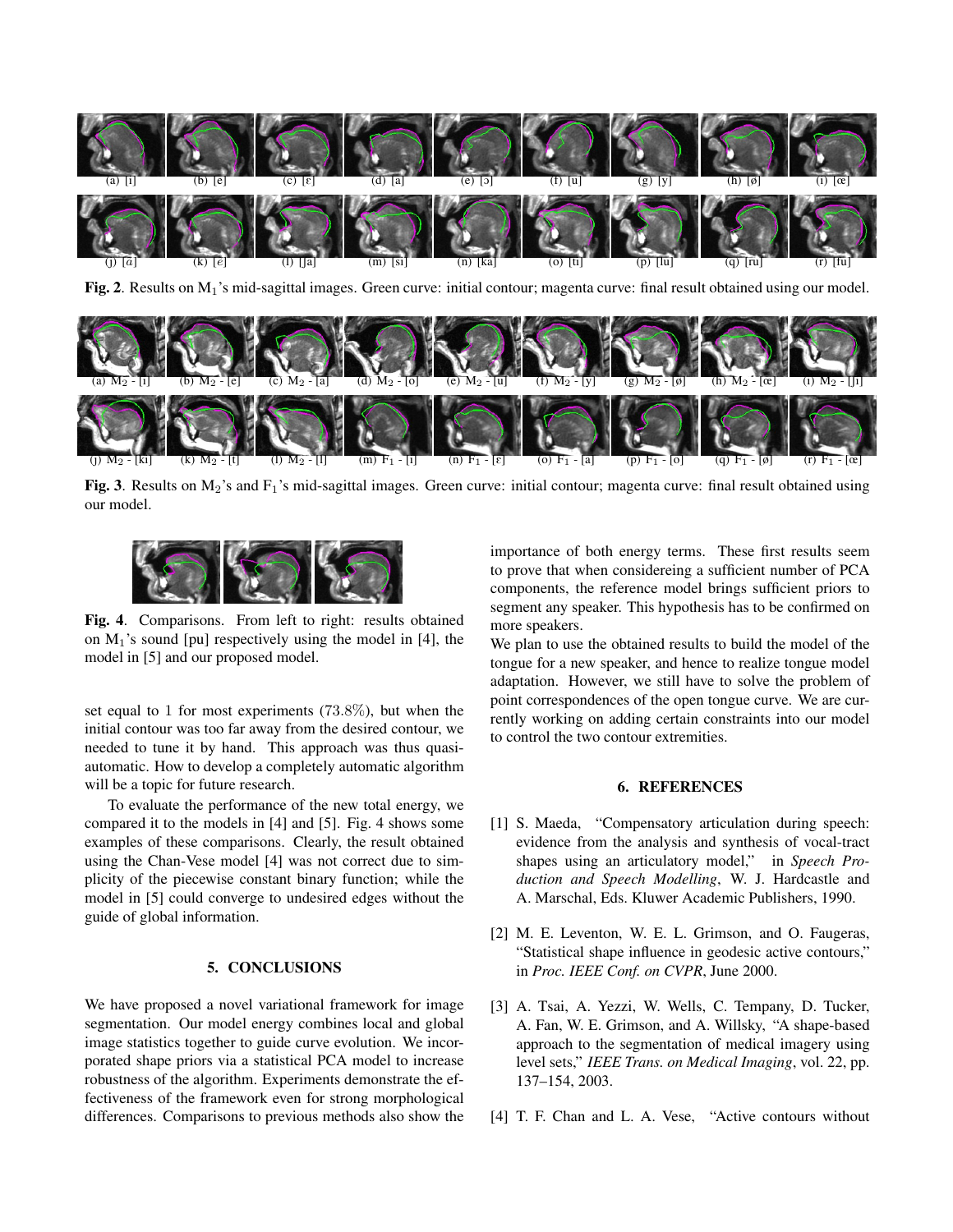

Fig. 2. Results on M1's mid-sagittal images. Green curve: initial contour; magenta curve: final result obtained using our model.



Fig. 3. Results on  $M_2$ 's and  $F_1$ 's mid-sagittal images. Green curve: initial contour; magenta curve: final result obtained using our model.



Fig. 4. Comparisons. From left to right: results obtained on  $M_1$ 's sound [pu] respectively using the model in [4], the model in [5] and our proposed model.

set equal to 1 for most experiments (73.8%), but when the initial contour was too far away from the desired contour, we needed to tune it by hand. This approach was thus quasiautomatic. How to develop a completely automatic algorithm will be a topic for future research.

To evaluate the performance of the new total energy, we compared it to the models in [4] and [5]. Fig. 4 shows some examples of these comparisons. Clearly, the result obtained using the Chan-Vese model [4] was not correct due to simplicity of the piecewise constant binary function; while the model in [5] could converge to undesired edges without the guide of global information.

# 5. CONCLUSIONS

We have proposed a novel variational framework for image segmentation. Our model energy combines local and global image statistics together to guide curve evolution. We incorporated shape priors via a statistical PCA model to increase robustness of the algorithm. Experiments demonstrate the effectiveness of the framework even for strong morphological differences. Comparisons to previous methods also show the importance of both energy terms. These first results seem to prove that when considereing a sufficient number of PCA components, the reference model brings sufficient priors to segment any speaker. This hypothesis has to be confirmed on more speakers.

We plan to use the obtained results to build the model of the tongue for a new speaker, and hence to realize tongue model adaptation. However, we still have to solve the problem of point correspondences of the open tongue curve. We are currently working on adding certain constraints into our model to control the two contour extremities.

# 6. REFERENCES

- [1] S. Maeda, "Compensatory articulation during speech: evidence from the analysis and synthesis of vocal-tract shapes using an articulatory model," in *Speech Production and Speech Modelling*, W. J. Hardcastle and A. Marschal, Eds. Kluwer Academic Publishers, 1990.
- [2] M. E. Leventon, W. E. L. Grimson, and O. Faugeras, "Statistical shape influence in geodesic active contours," in *Proc. IEEE Conf. on CVPR*, June 2000.
- [3] A. Tsai, A. Yezzi, W. Wells, C. Tempany, D. Tucker, A. Fan, W. E. Grimson, and A. Willsky, "A shape-based approach to the segmentation of medical imagery using level sets," *IEEE Trans. on Medical Imaging*, vol. 22, pp. 137–154, 2003.
- [4] T. F. Chan and L. A. Vese, "Active contours without